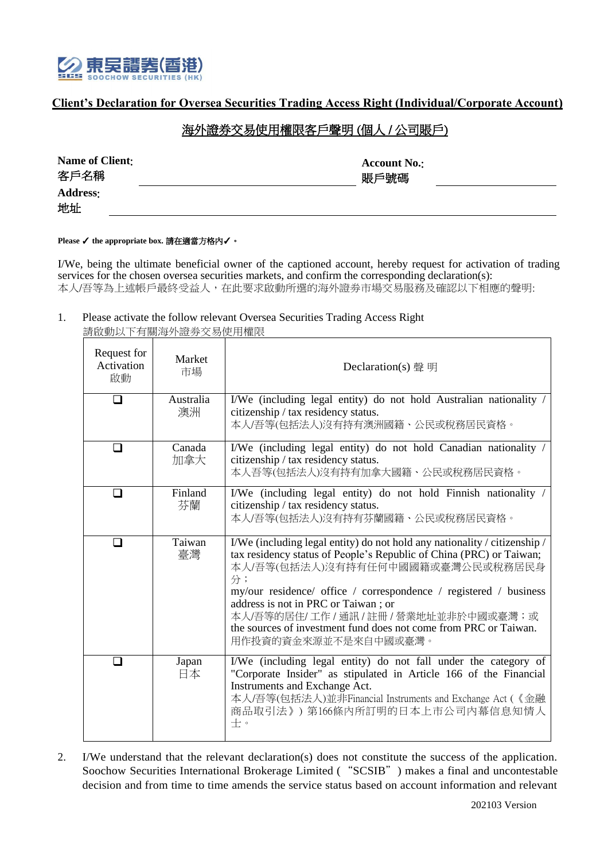

## **Client's Declaration for Oversea Securities Trading Access Right (Individual/Corporate Account)**

## 海外證券交易使用權限客戶聲明 (個人 / 公司賬戶)

| Name of Client:<br>客戶名稱 | <b>Account No.:</b><br>賬戶號碼 |  |
|-------------------------|-----------------------------|--|
| <b>Address:</b>         |                             |  |
| 地址                      |                             |  |

**Please** ✓ **the appropriate box.** 請在適當方格內✓。

I/We, being the ultimate beneficial owner of the captioned account, hereby request for activation of trading services for the chosen oversea securities markets, and confirm the corresponding declaration(s): 本人/吾等為上述帳戶最終受益人,在此要求啟動所選的海外證券市場交易服務及確認以下相應的聲明:

1. Please activate the follow relevant Oversea Securities Trading Access Right 請啟動以下有關海外證劵交易使用權限

| Request for<br>Activation<br>啟動 | Market<br>市場    | Declaration(s) 聲 明                                                                                                                                                                                                                                                                                                                                                                                                                           |  |
|---------------------------------|-----------------|----------------------------------------------------------------------------------------------------------------------------------------------------------------------------------------------------------------------------------------------------------------------------------------------------------------------------------------------------------------------------------------------------------------------------------------------|--|
| □                               | Australia<br>澳洲 | I/We (including legal entity) do not hold Australian nationality /<br>citizenship / tax residency status.<br>本人/吾等(包括法人)沒有持有澳洲國籍、公民或稅務居民資格。                                                                                                                                                                                                                                                                                                  |  |
| n                               | Canada<br>加拿大   | I/We (including legal entity) do not hold Canadian nationality /<br>citizenship / tax residency status.<br>本人吾等(包括法人)沒有持有加拿大國籍、公民或稅務居民資格。                                                                                                                                                                                                                                                                                                    |  |
|                                 | Finland<br>芬蘭   | I/We (including legal entity) do not hold Finnish nationality /<br>citizenship / tax residency status.<br>本人/吾等(包括法人)沒有持有芬蘭國籍、公民或稅務居民資格。                                                                                                                                                                                                                                                                                                     |  |
| l 1                             | Taiwan<br>臺灣    | I/We (including legal entity) do not hold any nationality / citizenship /<br>tax residency status of People's Republic of China (PRC) or Taiwan;<br>本人/吾等(包括法人)沒有持有任何中國國籍或臺灣公民或稅務居民身<br>分;<br>my/our residence/ office / correspondence / registered / business<br>address is not in PRC or Taiwan; or<br>本人/吾等的居住/工作 / 通訊 / 註冊 / 營業地址並非於中國或臺灣;或<br>the sources of investment fund does not come from PRC or Taiwan.<br>用作投資的資金來源並不是來自中國或臺灣。 |  |
|                                 | Japan<br>日本     | I/We (including legal entity) do not fall under the category of<br>"Corporate Insider" as stipulated in Article 166 of the Financial<br>Instruments and Exchange Act.<br>本人/吾等(包括法人)並非Financial Instruments and Exchange Act (《金融<br>商品取引法》)第166條內所訂明的日本上市公司內幕信息知情人<br>士。                                                                                                                                                                    |  |

2. I/We understand that the relevant declaration(s) does not constitute the success of the application. Soochow Securities International Brokerage Limited ("SCSIB") makes a final and uncontestable decision and from time to time amends the service status based on account information and relevant